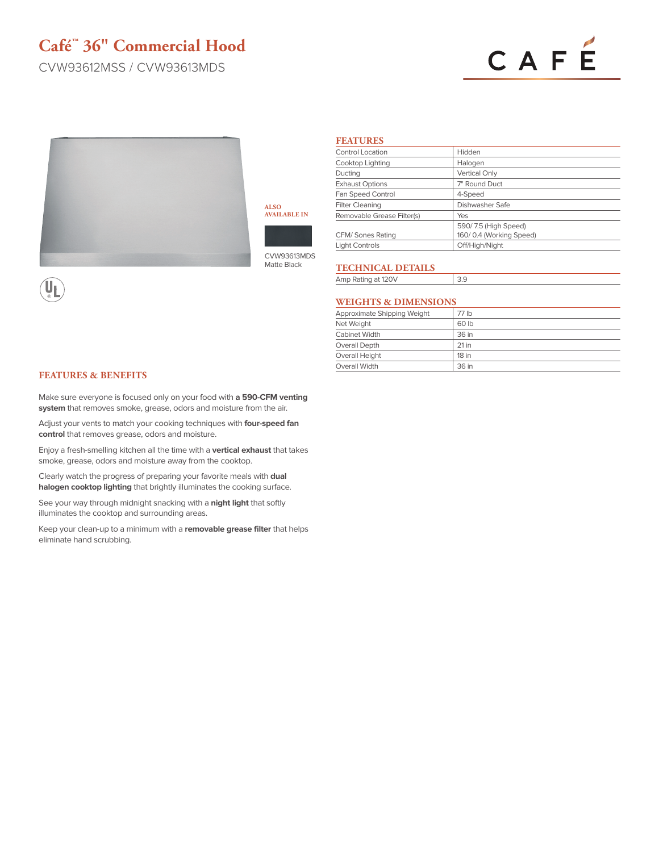## **Café™ 36" Commercial Hood**

CVW93612MSS / CVW93613MDS

# CAFÉ



**ALSO AVAILABLE IN**



CVW93613MDS Matte Black

## **FEATURES**

| <b>Control Location</b>    | Hidden                  |
|----------------------------|-------------------------|
| Cooktop Lighting           | Halogen                 |
| Ducting                    | Vertical Only           |
| <b>Exhaust Options</b>     | 7" Round Duct           |
| Fan Speed Control          | 4-Speed                 |
| <b>Filter Cleaning</b>     | Dishwasher Safe         |
| Removable Grease Filter(s) | Yes                     |
|                            | 590/7.5 (High Speed)    |
| CFM/ Sones Rating          | 160/0.4 (Working Speed) |
| <b>Light Controls</b>      | Off/High/Night          |

## **TECHNICAL DETAILS**

Amp Rating at 120V 3.9

## **WEIGHTS & DIMENSIONS**

| Approximate Shipping Weight | 77 lb   |
|-----------------------------|---------|
| Net Weight                  | 60 lb   |
| Cabinet Width               | 36 in   |
| Overall Depth               | $21$ in |
| Overall Height              | 18 in   |
| Overall Width               | 36 in   |

### **FEATURES & BENEFITS**

Make sure everyone is focused only on your food with **a 590-CFM venting system** that removes smoke, grease, odors and moisture from the air.

Adjust your vents to match your cooking techniques with **four-speed fan control** that removes grease, odors and moisture.

Enjoy a fresh-smelling kitchen all the time with a **vertical exhaust** that takes smoke, grease, odors and moisture away from the cooktop.

Clearly watch the progress of preparing your favorite meals with **dual halogen cooktop lighting** that brightly illuminates the cooking surface.

See your way through midnight snacking with a **night light** that softly illuminates the cooktop and surrounding areas.

Keep your clean-up to a minimum with a **removable grease filter** that helps eliminate hand scrubbing.